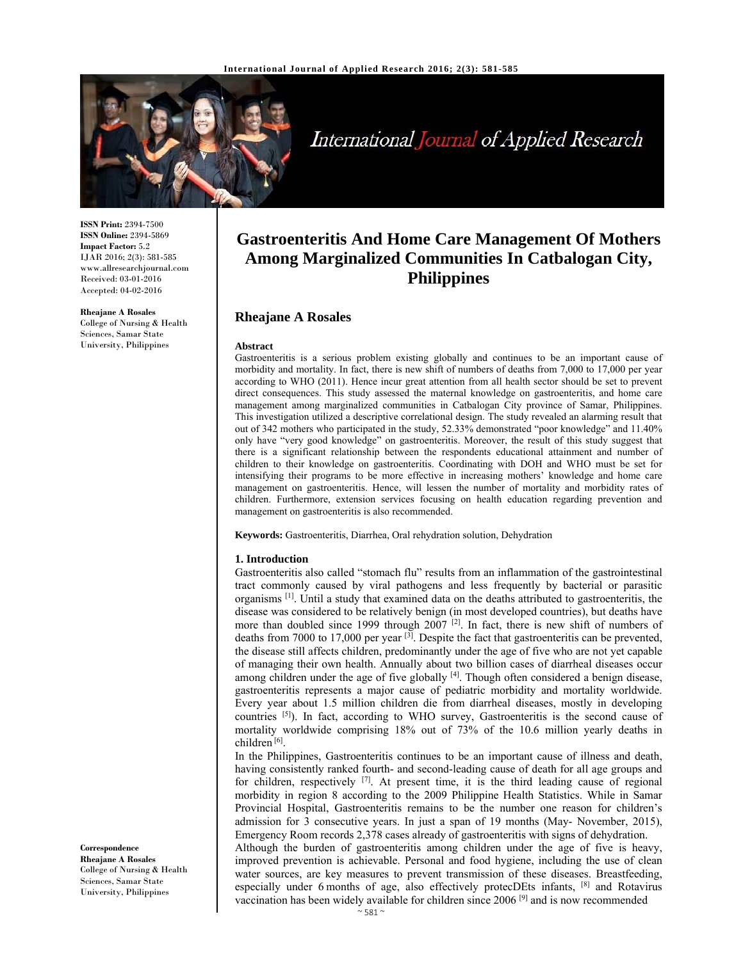

# International Journal of Applied Research

**ISSN Print:** 2394-7500 **ISSN Online:** 2394-5869 **Impact Factor:** 5.2 IJAR 2016; 2(3): 581-585 www.allresearchjournal.com Received: 03-01-2016 Accepted: 04-02-2016

**Rheajane A Rosales**  College of Nursing & Health Sciences, Samar State University, Philippines

# **Gastroenteritis And Home Care Management Of Mothers Among Marginalized Communities In Catbalogan City, Philippines**

### **Rheajane A Rosales**

#### **Abstract**

Gastroenteritis is a serious problem existing globally and continues to be an important cause of morbidity and mortality. In fact, there is new shift of numbers of deaths from 7,000 to 17,000 per year according to WHO (2011). Hence incur great attention from all health sector should be set to prevent direct consequences. This study assessed the maternal knowledge on gastroenteritis, and home care management among marginalized communities in Catbalogan City province of Samar, Philippines. This investigation utilized a descriptive correlational design. The study revealed an alarming result that out of 342 mothers who participated in the study, 52.33% demonstrated "poor knowledge" and 11.40% only have "very good knowledge" on gastroenteritis. Moreover, the result of this study suggest that there is a significant relationship between the respondents educational attainment and number of children to their knowledge on gastroenteritis. Coordinating with DOH and WHO must be set for intensifying their programs to be more effective in increasing mothers' knowledge and home care management on gastroenteritis. Hence, will lessen the number of mortality and morbidity rates of children. Furthermore, extension services focusing on health education regarding prevention and management on gastroenteritis is also recommended.

**Keywords:** Gastroenteritis, Diarrhea, Oral rehydration solution, Dehydration

#### **1. Introduction**

Gastroenteritis also called "stomach flu" results from an inflammation of the gastrointestinal tract commonly caused by viral pathogens and less frequently by bacterial or parasitic organisms [1]. Until a study that examined data on the deaths attributed to gastroenteritis, the disease was considered to be relatively benign (in most developed countries), but deaths have more than doubled since 1999 through 2007  $[2]$ . In fact, there is new shift of numbers of deaths from 7000 to 17,000 per year  $[3]$ . Despite the fact that gastroenteritis can be prevented, the disease still affects children, predominantly under the age of five who are not yet capable of managing their own health. Annually about two billion cases of diarrheal diseases occur among children under the age of five globally [4]. Though often considered a benign disease, gastroenteritis represents a major cause of pediatric morbidity and mortality worldwide. Every year about 1.5 million children die from diarrheal diseases, mostly in developing countries  $[5]$ . In fact, according to WHO survey, Gastroenteritis is the second cause of mortality worldwide comprising 18% out of 73% of the 10.6 million yearly deaths in children [6].

In the Philippines, Gastroenteritis continues to be an important cause of illness and death, having consistently ranked fourth- and second-leading cause of death for all age groups and for children, respectively  $^{[7]}$ . At present time, it is the third leading cause of regional morbidity in region 8 according to the 2009 Philippine Health Statistics. While in Samar Provincial Hospital, Gastroenteritis remains to be the number one reason for children's admission for 3 consecutive years. In just a span of 19 months (May- November, 2015), Emergency Room records 2,378 cases already of gastroenteritis with signs of dehydration.

Although the burden of gastroenteritis among children under the age of five is heavy, improved prevention is achievable. Personal and food hygiene, including the use of clean water sources, are key measures to prevent transmission of these diseases. Breastfeeding, especially under 6 months of age, also effectively protecDEts infants, <sup>[8]</sup> and Rotavirus vaccination has been widely available for children since 2006 [9] and is now recommended

**Correspondence Rheajane A Rosales**  College of Nursing & Health Sciences, Samar State University, Philippines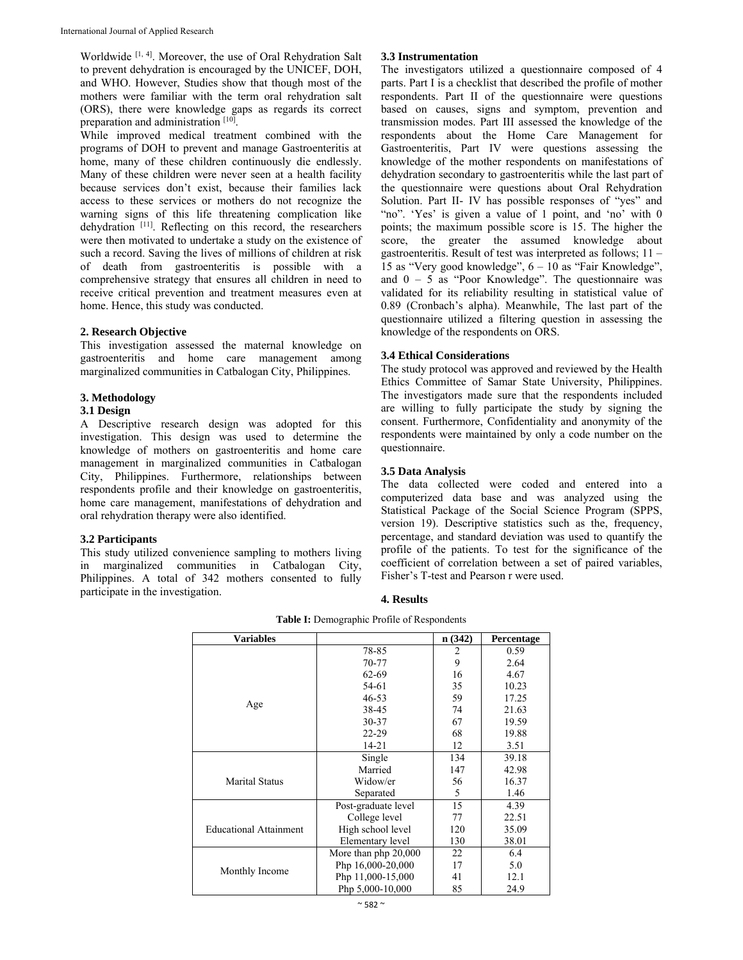Worldwide [1, 4]. Moreover, the use of Oral Rehydration Salt to prevent dehydration is encouraged by the UNICEF, DOH, and WHO. However, Studies show that though most of the mothers were familiar with the term oral rehydration salt (ORS), there were knowledge gaps as regards its correct preparation and administration [10].

While improved medical treatment combined with the programs of DOH to prevent and manage Gastroenteritis at home, many of these children continuously die endlessly. Many of these children were never seen at a health facility because services don't exist, because their families lack access to these services or mothers do not recognize the warning signs of this life threatening complication like dehydration [11]. Reflecting on this record, the researchers were then motivated to undertake a study on the existence of such a record. Saving the lives of millions of children at risk of death from gastroenteritis is possible with a comprehensive strategy that ensures all children in need to receive critical prevention and treatment measures even at home. Hence, this study was conducted.

#### **2. Research Objective**

This investigation assessed the maternal knowledge on gastroenteritis and home care management among marginalized communities in Catbalogan City, Philippines.

#### **3. Methodology**

#### **3.1 Design**

A Descriptive research design was adopted for this investigation. This design was used to determine the knowledge of mothers on gastroenteritis and home care management in marginalized communities in Catbalogan City, Philippines. Furthermore, relationships between respondents profile and their knowledge on gastroenteritis, home care management, manifestations of dehydration and oral rehydration therapy were also identified.

#### **3.2 Participants**

This study utilized convenience sampling to mothers living in marginalized communities in Catbalogan City, Philippines. A total of 342 mothers consented to fully participate in the investigation.

#### **3.3 Instrumentation**

The investigators utilized a questionnaire composed of 4 parts. Part I is a checklist that described the profile of mother respondents. Part II of the questionnaire were questions based on causes, signs and symptom, prevention and transmission modes. Part III assessed the knowledge of the respondents about the Home Care Management for Gastroenteritis, Part IV were questions assessing the knowledge of the mother respondents on manifestations of dehydration secondary to gastroenteritis while the last part of the questionnaire were questions about Oral Rehydration Solution. Part II- IV has possible responses of "yes" and "no". 'Yes' is given a value of 1 point, and 'no' with 0 points; the maximum possible score is 15. The higher the score, the greater the assumed knowledge about gastroenteritis. Result of test was interpreted as follows; 11 – 15 as "Very good knowledge",  $6 - 10$  as "Fair Knowledge", and  $0 - 5$  as "Poor Knowledge". The questionnaire was validated for its reliability resulting in statistical value of 0.89 (Cronbach's alpha). Meanwhile, The last part of the questionnaire utilized a filtering question in assessing the knowledge of the respondents on ORS.

#### **3.4 Ethical Considerations**

The study protocol was approved and reviewed by the Health Ethics Committee of Samar State University, Philippines. The investigators made sure that the respondents included are willing to fully participate the study by signing the consent. Furthermore, Confidentiality and anonymity of the respondents were maintained by only a code number on the questionnaire.

#### **3.5 Data Analysis**

The data collected were coded and entered into a computerized data base and was analyzed using the Statistical Package of the Social Science Program (SPPS, version 19). Descriptive statistics such as the, frequency, percentage, and standard deviation was used to quantify the profile of the patients. To test for the significance of the coefficient of correlation between a set of paired variables, Fisher's T-test and Pearson r were used.

## **4. Results**

| <b>Variables</b>              |                      | n(342) | <b>Percentage</b> |
|-------------------------------|----------------------|--------|-------------------|
|                               | 78-85                | 2      | 0.59              |
|                               | 70-77                | 9      | 2.64              |
|                               | 62-69                | 16     | 4.67              |
|                               | 54-61                | 35     | 10.23             |
|                               | $46 - 53$            | 59     | 17.25             |
| Age                           | 38-45                | 74     | 21.63             |
|                               | $30 - 37$            | 67     | 19.59             |
|                               | $22 - 29$            | 68     | 19.88             |
|                               | $14 - 21$            | 12     | 3.51              |
|                               | Single               | 134    | 39.18             |
|                               | Married              | 147    | 42.98             |
| <b>Marital Status</b>         | Widow/er             | 56     | 16.37             |
|                               | Separated            | 5      | 1.46              |
|                               | Post-graduate level  | 15     | 4.39              |
|                               | College level        | 77     | 22.51             |
| <b>Educational Attainment</b> | High school level    | 120    | 35.09             |
|                               | Elementary level     | 130    | 38.01             |
|                               | More than php 20,000 | 22     | 6.4               |
|                               | Php 16,000-20,000    | 17     | 5.0               |
| Monthly Income                | Php 11,000-15,000    | 41     | 12.1              |
|                               | Php 5,000-10,000     | 85     | 24.9              |

**Table I:** Demographic Profile of Respondents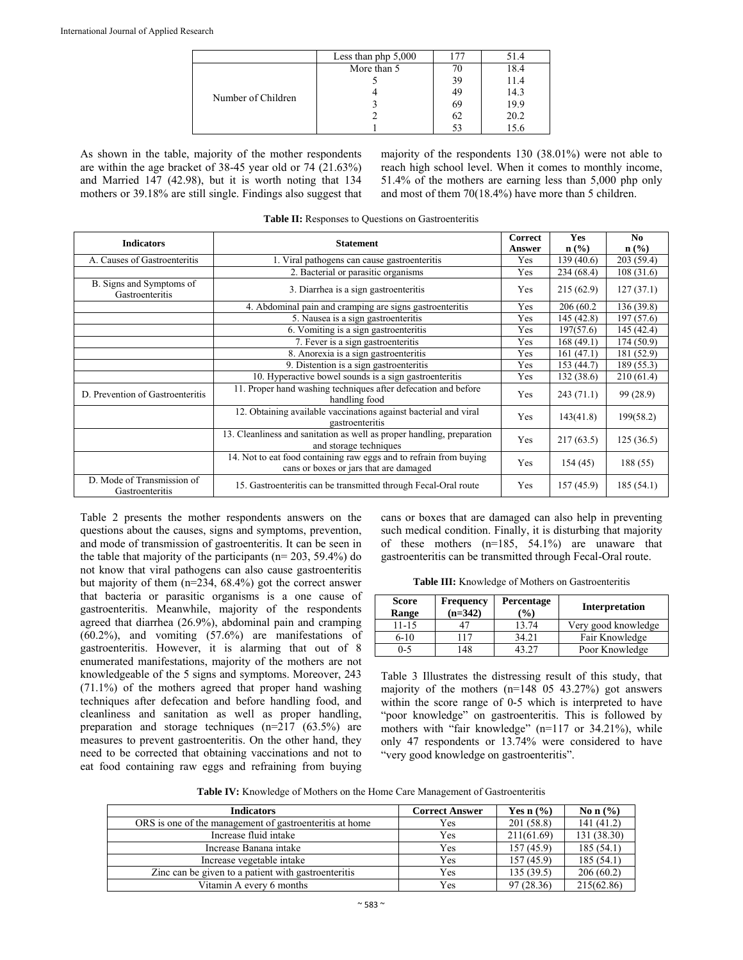|                    | Less than php $5,000$ |     | 51.4 |
|--------------------|-----------------------|-----|------|
|                    | More than 5           |     | 18.4 |
|                    |                       | 39  | 11.4 |
| Number of Children |                       | 49  | 14.3 |
|                    |                       | 69  | 19.9 |
|                    |                       | -62 | 20.2 |
|                    |                       |     |      |

As shown in the table, majority of the mother respondents are within the age bracket of 38-45 year old or 74 (21.63%) and Married 147 (42.98), but it is worth noting that 134 mothers or 39.18% are still single. Findings also suggest that

majority of the respondents 130 (38.01%) were not able to reach high school level. When it comes to monthly income, 51.4% of the mothers are earning less than 5,000 php only and most of them 70(18.4%) have more than 5 children.

**Table II:** Responses to Questions on Gastroenteritis

| <b>Indicators</b>                             | <b>Statement</b>                                                                                             | <b>Correct</b><br><b>Answer</b> | <b>Yes</b><br>$n\left(\frac{0}{0}\right)$ | N <sub>0</sub><br>$\mathbf{n}(\%)$ |
|-----------------------------------------------|--------------------------------------------------------------------------------------------------------------|---------------------------------|-------------------------------------------|------------------------------------|
| A. Causes of Gastroenteritis                  | 1. Viral pathogens can cause gastroenteritis                                                                 | Yes                             | 139(40.6)                                 | 203(59.4)                          |
|                                               | 2. Bacterial or parasitic organisms                                                                          | Yes                             | 234(68.4)                                 | 108(31.6)                          |
| B. Signs and Symptoms of<br>Gastroenteritis   | 3. Diarrhea is a sign gastroenteritis                                                                        | Yes                             | 215(62.9)                                 | 127(37.1)                          |
|                                               | 4. Abdominal pain and cramping are signs gastroenteritis                                                     | Yes                             | 206 (60.2)                                | 136 (39.8)                         |
|                                               | 5. Nausea is a sign gastroenteritis                                                                          | Yes                             | 145 (42.8)                                | 197 (57.6)                         |
|                                               | 6. Vomiting is a sign gastroenteritis                                                                        | Yes                             | 197(57.6)                                 | 145 (42.4)                         |
|                                               | 7. Fever is a sign gastroenteritis                                                                           | Yes                             | 168(49.1)                                 | 174(50.9)                          |
|                                               | 8. Anorexia is a sign gastroenteritis                                                                        | Yes                             | 161(47.1)                                 | 181 (52.9)                         |
|                                               | 9. Distention is a sign gastroenteritis                                                                      | Yes                             | 153(44.7)                                 | 189 (55.3)                         |
|                                               | 10. Hyperactive bowel sounds is a sign gastroenteritis                                                       | Yes                             | 132 (38.6)                                | 210(61.4)                          |
| D. Prevention of Gastroenteritis              | 11. Proper hand washing techniques after defecation and before<br>handling food                              | Yes                             | 243(71.1)                                 | 99 (28.9)                          |
|                                               | 12. Obtaining available vaccinations against bacterial and viral<br>gastroenteritis                          | Yes                             | 143(41.8)                                 | 199(58.2)                          |
|                                               | 13. Cleanliness and sanitation as well as proper handling, preparation<br>and storage techniques             | Yes                             | 217(63.5)                                 | 125(36.5)                          |
|                                               | 14. Not to eat food containing raw eggs and to refrain from buying<br>cans or boxes or jars that are damaged | Yes                             | 154 (45)                                  | 188 (55)                           |
| D. Mode of Transmission of<br>Gastroenteritis | 15. Gastroenteritis can be transmitted through Fecal-Oral route                                              | Yes                             | 157(45.9)                                 | 185(54.1)                          |

Table 2 presents the mother respondents answers on the questions about the causes, signs and symptoms, prevention, and mode of transmission of gastroenteritis. It can be seen in the table that majority of the participants ( $n= 203, 59.4\%$ ) do not know that viral pathogens can also cause gastroenteritis but majority of them (n=234, 68.4%) got the correct answer that bacteria or parasitic organisms is a one cause of gastroenteritis. Meanwhile, majority of the respondents agreed that diarrhea (26.9%), abdominal pain and cramping (60.2%), and vomiting (57.6%) are manifestations of gastroenteritis. However, it is alarming that out of 8 enumerated manifestations, majority of the mothers are not knowledgeable of the 5 signs and symptoms. Moreover, 243 (71.1%) of the mothers agreed that proper hand washing techniques after defecation and before handling food, and cleanliness and sanitation as well as proper handling, preparation and storage techniques (n=217 (63.5%) are measures to prevent gastroenteritis. On the other hand, they need to be corrected that obtaining vaccinations and not to eat food containing raw eggs and refraining from buying

cans or boxes that are damaged can also help in preventing such medical condition. Finally, it is disturbing that majority of these mothers (n=185, 54.1%) are unaware that gastroenteritis can be transmitted through Fecal-Oral route.

**Table III:** Knowledge of Mothers on Gastroenteritis

| Score<br>Range | <b>Frequency</b><br>$(n=342)$ | Percentage<br>$\frac{1}{2}$ | <b>Interpretation</b> |
|----------------|-------------------------------|-----------------------------|-----------------------|
| 11-15          |                               | 13.74                       | Very good knowledge   |
| $6-10$         | 117                           | 34.21                       | Fair Knowledge        |
| 0-5            | 148                           |                             | Poor Knowledge        |

Table 3 Illustrates the distressing result of this study, that majority of the mothers (n=148 05 43.27%) got answers within the score range of 0-5 which is interpreted to have "poor knowledge" on gastroenteritis. This is followed by mothers with "fair knowledge" (n=117 or 34.21%), while only 47 respondents or 13.74% were considered to have "very good knowledge on gastroenteritis".

**Table IV:** Knowledge of Mothers on the Home Care Management of Gastroenteritis

| <b>Indicators</b>                                       | <b>Correct Answer</b> | Yes $n$ $\left(\frac{9}{6}\right)$ | No n $(\% )$ |
|---------------------------------------------------------|-----------------------|------------------------------------|--------------|
| ORS is one of the management of gastroenteritis at home | Yes                   | 201(58.8)                          | 141 (41.2)   |
| Increase fluid intake                                   | Yes                   | 211(61.69)                         | 131 (38.30)  |
| Increase Banana intake                                  | Yes                   | 157(45.9)                          | 185(54.1)    |
| Increase vegetable intake                               | Yes                   | 157(45.9)                          | 185(54.1)    |
| Zinc can be given to a patient with gastroenteritis     | Yes                   | 135(39.5)                          | 206(60.2)    |
| Vitamin A every 6 months                                | Yes                   | 97(28.36)                          | 215(62.86)   |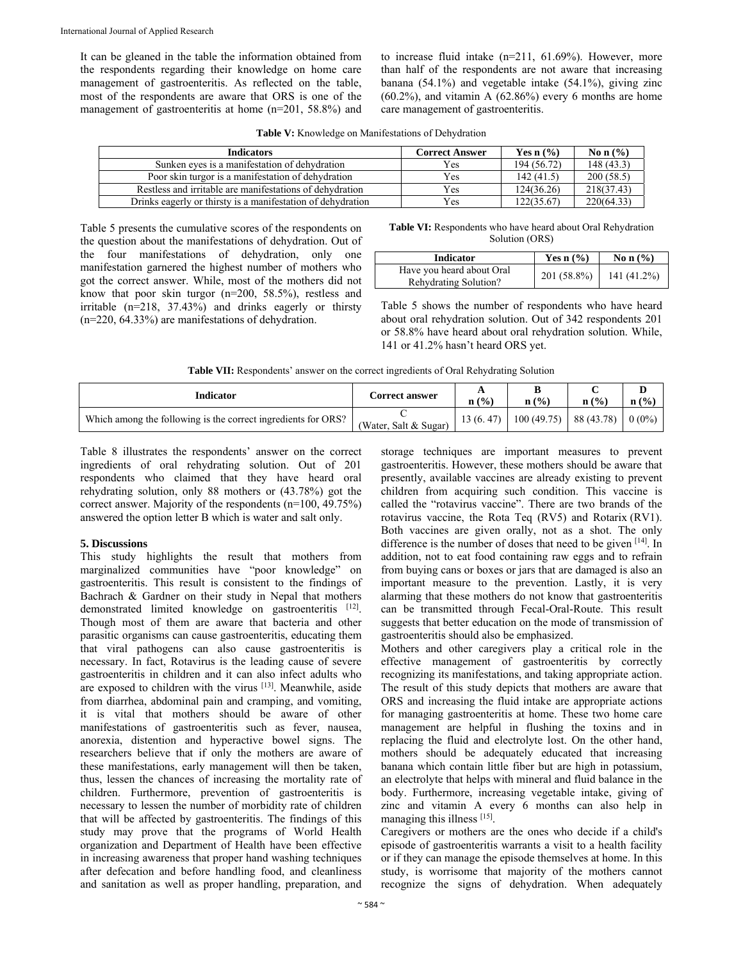It can be gleaned in the table the information obtained from the respondents regarding their knowledge on home care management of gastroenteritis. As reflected on the table, most of the respondents are aware that ORS is one of the management of gastroenteritis at home (n=201, 58.8%) and to increase fluid intake (n=211, 61.69%). However, more than half of the respondents are not aware that increasing banana (54.1%) and vegetable intake (54.1%), giving zinc  $(60.2\%)$ , and vitamin A  $(62.86\%)$  every 6 months are home care management of gastroenteritis.

| Table V: Knowledge on Manifestations of Dehydration |
|-----------------------------------------------------|
|-----------------------------------------------------|

| Indicators                                                  | <b>Correct Answer</b> | Yes $n \frac{6}{6}$ | No n $(\% )$ |
|-------------------------------------------------------------|-----------------------|---------------------|--------------|
| Sunken eves is a manifestation of dehydration               | Yes                   | 194 (56.72)         | 148(43.3)    |
| Poor skin turgor is a manifestation of dehydration          | Yes                   | 142(41.5)           | 200(58.5)    |
| Restless and irritable are manifestations of dehydration    | Yes                   | 124(36.26)          | 218(37.43)   |
| Drinks eagerly or thirsty is a manifestation of dehydration | Yes                   | 22(35.67)           | 220(64.33)   |

Table 5 presents the cumulative scores of the respondents on the question about the manifestations of dehydration. Out of the four manifestations of dehydration, only one manifestation garnered the highest number of mothers who got the correct answer. While, most of the mothers did not know that poor skin turgor (n=200, 58.5%), restless and irritable (n=218, 37.43%) and drinks eagerly or thirsty (n=220, 64.33%) are manifestations of dehydration.

**Table VI:** Respondents who have heard about Oral Rehydration Solution (ORS)

| <b>Indicator</b>                                   | Yes $n$ $\left(\frac{9}{6}\right)$ | No n $(\% )$ |
|----------------------------------------------------|------------------------------------|--------------|
| Have you heard about Oral<br>Rehydrating Solution? | 201 (58.8%)                        | 141 (41.2%)  |

Table 5 shows the number of respondents who have heard about oral rehydration solution. Out of 342 respondents 201 or 58.8% have heard about oral rehydration solution. While, 141 or 41.2% hasn't heard ORS yet.

| Table VII: Respondents' answer on the correct ingredients of Oral Rehydrating Solution |  |  |  |
|----------------------------------------------------------------------------------------|--|--|--|
|                                                                                        |  |  |  |

| Indicator                                                     | <b>Correct answer</b> | $n\left(\frac{0}{0}\right)$ | n(%                              | $\mathbf{n}$ (%) | $\mathbf{n}$ (%) |
|---------------------------------------------------------------|-----------------------|-----------------------------|----------------------------------|------------------|------------------|
| Which among the following is the correct ingredients for ORS? | (Water, Salt & Sugar) | 13(6, 47)                   | $100(49.75)$   88(43.78)   0(0%) |                  |                  |

Table 8 illustrates the respondents' answer on the correct ingredients of oral rehydrating solution. Out of 201 respondents who claimed that they have heard oral rehydrating solution, only 88 mothers or (43.78%) got the correct answer. Majority of the respondents (n=100, 49.75%) answered the option letter B which is water and salt only.

#### **5. Discussions**

This study highlights the result that mothers from marginalized communities have "poor knowledge" on gastroenteritis. This result is consistent to the findings of Bachrach & Gardner on their study in Nepal that mothers demonstrated limited knowledge on gastroenteritis [12]. Though most of them are aware that bacteria and other parasitic organisms can cause gastroenteritis, educating them that viral pathogens can also cause gastroenteritis is necessary. In fact, Rotavirus is the leading cause of severe gastroenteritis in children and it can also infect adults who are exposed to children with the virus [13]. Meanwhile, aside from diarrhea, abdominal pain and cramping, and vomiting, it is vital that mothers should be aware of other manifestations of gastroenteritis such as fever, nausea, anorexia, distention and hyperactive bowel signs. The researchers believe that if only the mothers are aware of these manifestations, early management will then be taken, thus, lessen the chances of increasing the mortality rate of children. Furthermore, prevention of gastroenteritis is necessary to lessen the number of morbidity rate of children that will be affected by gastroenteritis. The findings of this study may prove that the programs of World Health organization and Department of Health have been effective in increasing awareness that proper hand washing techniques after defecation and before handling food, and cleanliness and sanitation as well as proper handling, preparation, and

storage techniques are important measures to prevent gastroenteritis. However, these mothers should be aware that presently, available vaccines are already existing to prevent children from acquiring such condition. This vaccine is called the "rotavirus vaccine". There are two brands of the rotavirus vaccine, the Rota Teq (RV5) and Rotarix (RV1). Both vaccines are given orally, not as a shot. The only difference is the number of doses that need to be given [14]. In addition, not to eat food containing raw eggs and to refrain from buying cans or boxes or jars that are damaged is also an important measure to the prevention. Lastly, it is very alarming that these mothers do not know that gastroenteritis can be transmitted through Fecal-Oral-Route. This result suggests that better education on the mode of transmission of gastroenteritis should also be emphasized.

Mothers and other caregivers play a critical role in the effective management of gastroenteritis by correctly recognizing its manifestations, and taking appropriate action. The result of this study depicts that mothers are aware that ORS and increasing the fluid intake are appropriate actions for managing gastroenteritis at home. These two home care management are helpful in flushing the toxins and in replacing the fluid and electrolyte lost. On the other hand, mothers should be adequately educated that increasing banana which contain little fiber but are high in potassium, an electrolyte that helps with mineral and fluid balance in the body. Furthermore, increasing vegetable intake, giving of zinc and vitamin A every 6 months can also help in managing this illness [15].

Caregivers or mothers are the ones who decide if a child's episode of gastroenteritis warrants a visit to a health facility or if they can manage the episode themselves at home. In this study, is worrisome that majority of the mothers cannot recognize the signs of dehydration. When adequately